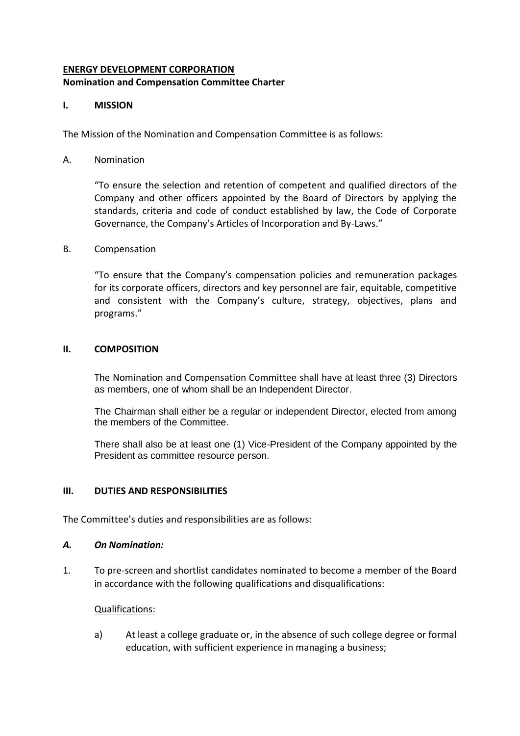# **ENERGY DEVELOPMENT CORPORATION Nomination and Compensation Committee Charter**

## **I. MISSION**

The Mission of the Nomination and Compensation Committee is as follows:

### A. Nomination

"To ensure the selection and retention of competent and qualified directors of the Company and other officers appointed by the Board of Directors by applying the standards, criteria and code of conduct established by law, the Code of Corporate Governance, the Company's Articles of Incorporation and By-Laws."

#### B. Compensation

"To ensure that the Company's compensation policies and remuneration packages for its corporate officers, directors and key personnel are fair, equitable, competitive and consistent with the Company's culture, strategy, objectives, plans and programs."

#### **II. COMPOSITION**

The Nomination and Compensation Committee shall have at least three (3) Directors as members, one of whom shall be an Independent Director.

The Chairman shall either be a regular or independent Director, elected from among the members of the Committee.

There shall also be at least one (1) Vice-President of the Company appointed by the President as committee resource person.

#### **III. DUTIES AND RESPONSIBILITIES**

The Committee's duties and responsibilities are as follows:

#### *A. On Nomination:*

1. To pre-screen and shortlist candidates nominated to become a member of the Board in accordance with the following qualifications and disqualifications:

#### Qualifications:

a) At least a college graduate or, in the absence of such college degree or formal education, with sufficient experience in managing a business;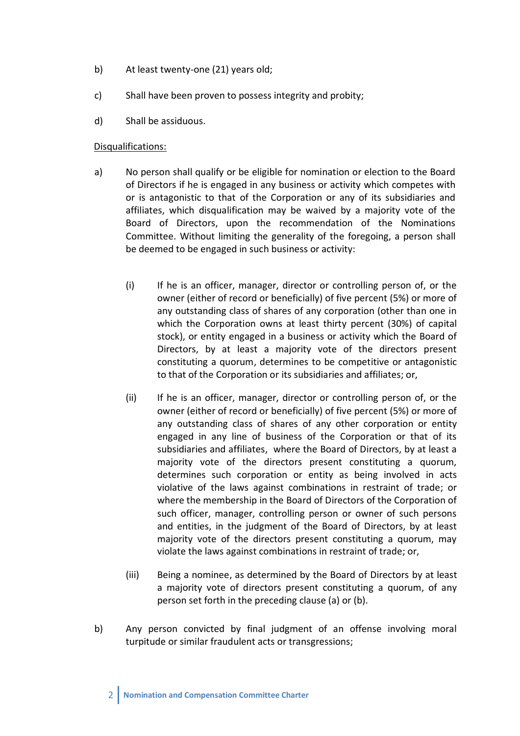- b) At least twenty-one (21) years old;
- c) Shall have been proven to possess integrity and probity;
- d) Shall be assiduous.

#### Disqualifications:

- a) No person shall qualify or be eligible for nomination or election to the Board of Directors if he is engaged in any business or activity which competes with or is antagonistic to that of the Corporation or any of its subsidiaries and affiliates, which disqualification may be waived by a majority vote of the Board of Directors, upon the recommendation of the Nominations Committee. Without limiting the generality of the foregoing, a person shall be deemed to be engaged in such business or activity:
	- (i) If he is an officer, manager, director or controlling person of, or the owner (either of record or beneficially) of five percent (5%) or more of any outstanding class of shares of any corporation (other than one in which the Corporation owns at least thirty percent (30%) of capital stock), or entity engaged in a business or activity which the Board of Directors, by at least a majority vote of the directors present constituting a quorum, determines to be competitive or antagonistic to that of the Corporation or its subsidiaries and affiliates; or,
	- (ii) If he is an officer, manager, director or controlling person of, or the owner (either of record or beneficially) of five percent (5%) or more of any outstanding class of shares of any other corporation or entity engaged in any line of business of the Corporation or that of its subsidiaries and affiliates, where the Board of Directors, by at least a majority vote of the directors present constituting a quorum, determines such corporation or entity as being involved in acts violative of the laws against combinations in restraint of trade; or where the membership in the Board of Directors of the Corporation of such officer, manager, controlling person or owner of such persons and entities, in the judgment of the Board of Directors, by at least majority vote of the directors present constituting a quorum, may violate the laws against combinations in restraint of trade; or,
	- (iii) Being a nominee, as determined by the Board of Directors by at least a majority vote of directors present constituting a quorum, of any person set forth in the preceding clause (a) or (b).
- b) Any person convicted by final judgment of an offense involving moral turpitude or similar fraudulent acts or transgressions;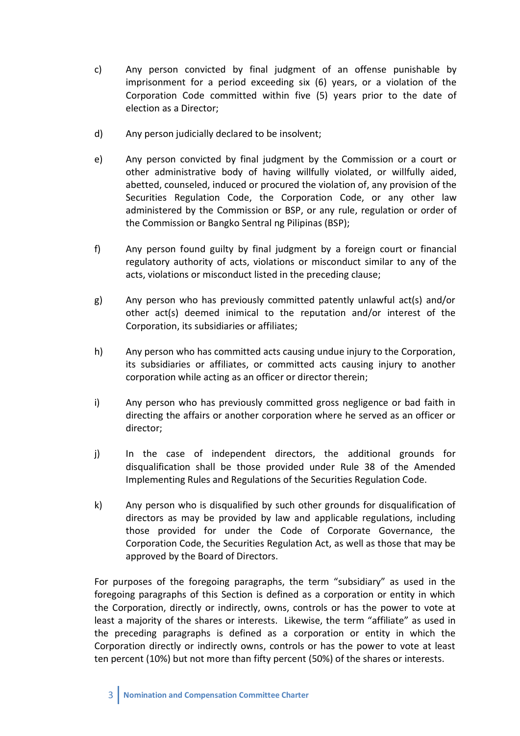- c) Any person convicted by final judgment of an offense punishable by imprisonment for a period exceeding six (6) years, or a violation of the Corporation Code committed within five (5) years prior to the date of election as a Director;
- d) Any person judicially declared to be insolvent;
- e) Any person convicted by final judgment by the Commission or a court or other administrative body of having willfully violated, or willfully aided, abetted, counseled, induced or procured the violation of, any provision of the Securities Regulation Code, the Corporation Code, or any other law administered by the Commission or BSP, or any rule, regulation or order of the Commission or Bangko Sentral ng Pilipinas (BSP);
- f) Any person found guilty by final judgment by a foreign court or financial regulatory authority of acts, violations or misconduct similar to any of the acts, violations or misconduct listed in the preceding clause;
- g) Any person who has previously committed patently unlawful act(s) and/or other act(s) deemed inimical to the reputation and/or interest of the Corporation, its subsidiaries or affiliates;
- h) Any person who has committed acts causing undue injury to the Corporation, its subsidiaries or affiliates, or committed acts causing injury to another corporation while acting as an officer or director therein;
- i) Any person who has previously committed gross negligence or bad faith in directing the affairs or another corporation where he served as an officer or director;
- j) In the case of independent directors, the additional grounds for disqualification shall be those provided under Rule 38 of the Amended Implementing Rules and Regulations of the Securities Regulation Code.
- k) Any person who is disqualified by such other grounds for disqualification of directors as may be provided by law and applicable regulations, including those provided for under the Code of Corporate Governance, the Corporation Code, the Securities Regulation Act, as well as those that may be approved by the Board of Directors.

For purposes of the foregoing paragraphs, the term "subsidiary" as used in the foregoing paragraphs of this Section is defined as a corporation or entity in which the Corporation, directly or indirectly, owns, controls or has the power to vote at least a majority of the shares or interests. Likewise, the term "affiliate" as used in the preceding paragraphs is defined as a corporation or entity in which the Corporation directly or indirectly owns, controls or has the power to vote at least ten percent (10%) but not more than fifty percent (50%) of the shares or interests.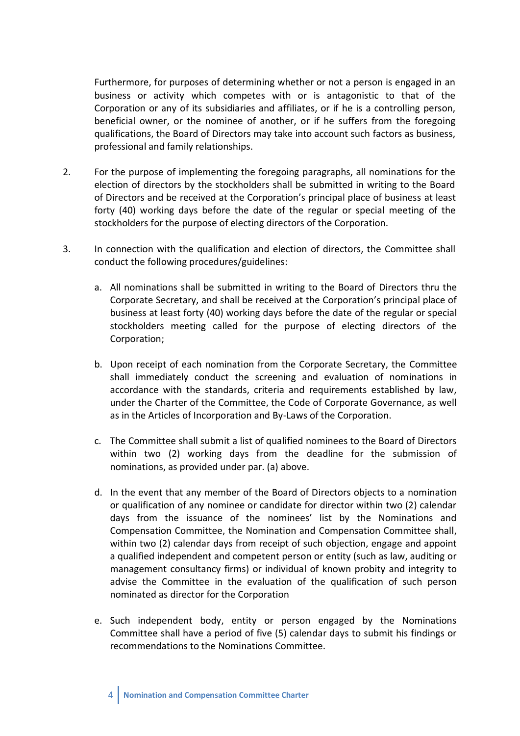Furthermore, for purposes of determining whether or not a person is engaged in an business or activity which competes with or is antagonistic to that of the Corporation or any of its subsidiaries and affiliates, or if he is a controlling person, beneficial owner, or the nominee of another, or if he suffers from the foregoing qualifications, the Board of Directors may take into account such factors as business, professional and family relationships.

- 2. For the purpose of implementing the foregoing paragraphs, all nominations for the election of directors by the stockholders shall be submitted in writing to the Board of Directors and be received at the Corporation's principal place of business at least forty (40) working days before the date of the regular or special meeting of the stockholders for the purpose of electing directors of the Corporation.
- 3. In connection with the qualification and election of directors, the Committee shall conduct the following procedures/guidelines:
	- a. All nominations shall be submitted in writing to the Board of Directors thru the Corporate Secretary, and shall be received at the Corporation's principal place of business at least forty (40) working days before the date of the regular or special stockholders meeting called for the purpose of electing directors of the Corporation;
	- b. Upon receipt of each nomination from the Corporate Secretary, the Committee shall immediately conduct the screening and evaluation of nominations in accordance with the standards, criteria and requirements established by law, under the Charter of the Committee, the Code of Corporate Governance, as well as in the Articles of Incorporation and By-Laws of the Corporation.
	- c. The Committee shall submit a list of qualified nominees to the Board of Directors within two (2) working days from the deadline for the submission of nominations, as provided under par. (a) above.
	- d. In the event that any member of the Board of Directors objects to a nomination or qualification of any nominee or candidate for director within two (2) calendar days from the issuance of the nominees' list by the Nominations and Compensation Committee, the Nomination and Compensation Committee shall, within two (2) calendar days from receipt of such objection, engage and appoint a qualified independent and competent person or entity (such as law, auditing or management consultancy firms) or individual of known probity and integrity to advise the Committee in the evaluation of the qualification of such person nominated as director for the Corporation
	- e. Such independent body, entity or person engaged by the Nominations Committee shall have a period of five (5) calendar days to submit his findings or recommendations to the Nominations Committee.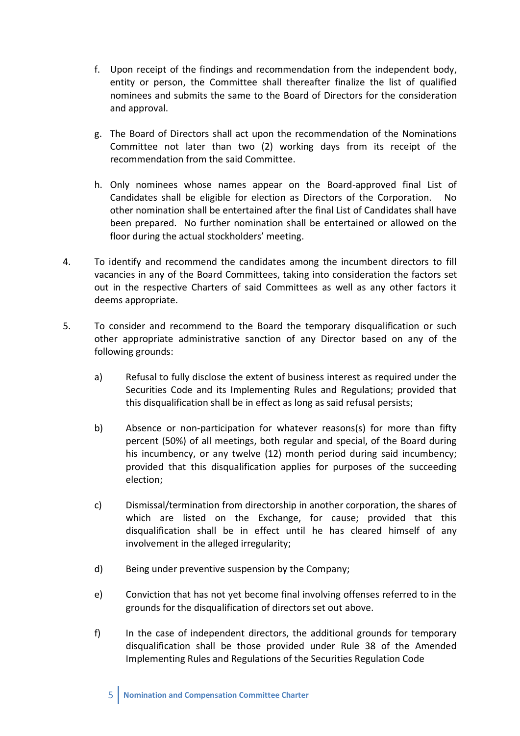- f. Upon receipt of the findings and recommendation from the independent body, entity or person, the Committee shall thereafter finalize the list of qualified nominees and submits the same to the Board of Directors for the consideration and approval.
- g. The Board of Directors shall act upon the recommendation of the Nominations Committee not later than two (2) working days from its receipt of the recommendation from the said Committee.
- h. Only nominees whose names appear on the Board-approved final List of Candidates shall be eligible for election as Directors of the Corporation. No other nomination shall be entertained after the final List of Candidates shall have been prepared. No further nomination shall be entertained or allowed on the floor during the actual stockholders' meeting.
- 4. To identify and recommend the candidates among the incumbent directors to fill vacancies in any of the Board Committees, taking into consideration the factors set out in the respective Charters of said Committees as well as any other factors it deems appropriate.
- 5. To consider and recommend to the Board the temporary disqualification or such other appropriate administrative sanction of any Director based on any of the following grounds:
	- a) Refusal to fully disclose the extent of business interest as required under the Securities Code and its Implementing Rules and Regulations; provided that this disqualification shall be in effect as long as said refusal persists;
	- b) Absence or non-participation for whatever reasons(s) for more than fifty percent (50%) of all meetings, both regular and special, of the Board during his incumbency, or any twelve (12) month period during said incumbency; provided that this disqualification applies for purposes of the succeeding election;
	- c) Dismissal/termination from directorship in another corporation, the shares of which are listed on the Exchange, for cause; provided that this disqualification shall be in effect until he has cleared himself of any involvement in the alleged irregularity;
	- d) Being under preventive suspension by the Company;
	- e) Conviction that has not yet become final involving offenses referred to in the grounds for the disqualification of directors set out above.
	- f) In the case of independent directors, the additional grounds for temporary disqualification shall be those provided under Rule 38 of the Amended Implementing Rules and Regulations of the Securities Regulation Code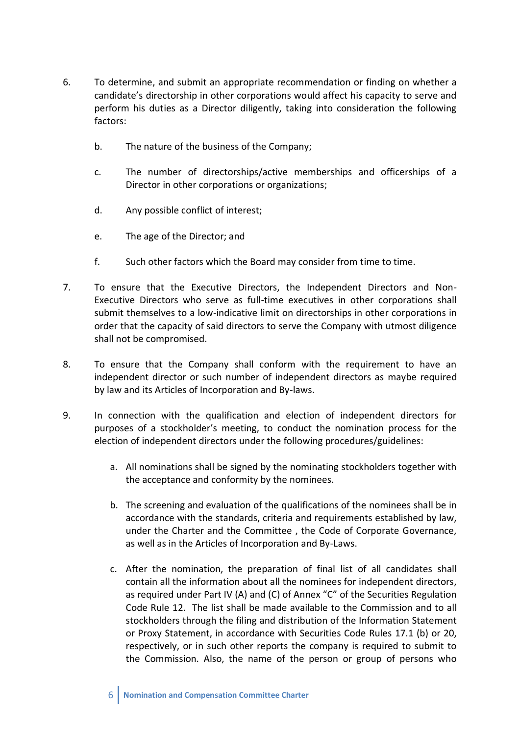- 6. To determine, and submit an appropriate recommendation or finding on whether a candidate's directorship in other corporations would affect his capacity to serve and perform his duties as a Director diligently, taking into consideration the following factors:
	- b. The nature of the business of the Company;
	- c. The number of directorships/active memberships and officerships of a Director in other corporations or organizations;
	- d. Any possible conflict of interest;
	- e. The age of the Director; and
	- f. Such other factors which the Board may consider from time to time.
- 7. To ensure that the Executive Directors, the Independent Directors and Non-Executive Directors who serve as full-time executives in other corporations shall submit themselves to a low-indicative limit on directorships in other corporations in order that the capacity of said directors to serve the Company with utmost diligence shall not be compromised.
- 8. To ensure that the Company shall conform with the requirement to have an independent director or such number of independent directors as maybe required by law and its Articles of Incorporation and By-laws.
- 9. In connection with the qualification and election of independent directors for purposes of a stockholder's meeting, to conduct the nomination process for the election of independent directors under the following procedures/guidelines:
	- a. All nominations shall be signed by the nominating stockholders together with the acceptance and conformity by the nominees.
	- b. The screening and evaluation of the qualifications of the nominees shall be in accordance with the standards, criteria and requirements established by law, under the Charter and the Committee , the Code of Corporate Governance, as well as in the Articles of Incorporation and By-Laws.
	- c. After the nomination, the preparation of final list of all candidates shall contain all the information about all the nominees for independent directors, as required under Part IV (A) and (C) of Annex "C" of the Securities Regulation Code Rule 12. The list shall be made available to the Commission and to all stockholders through the filing and distribution of the Information Statement or Proxy Statement, in accordance with Securities Code Rules 17.1 (b) or 20, respectively, or in such other reports the company is required to submit to the Commission. Also, the name of the person or group of persons who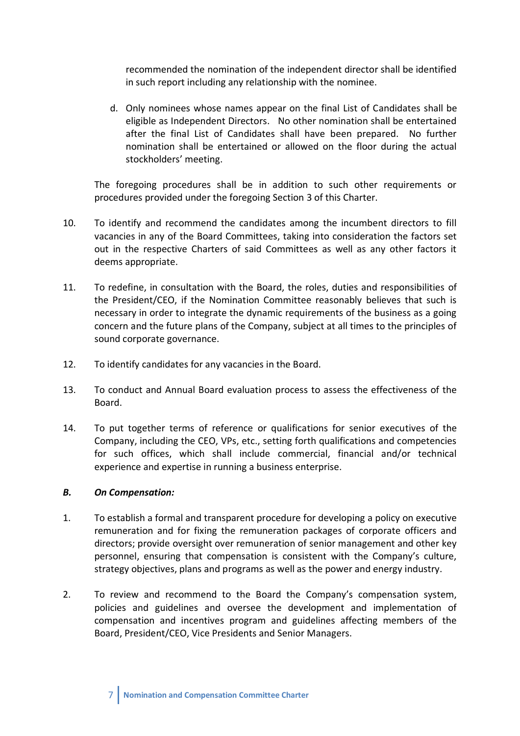recommended the nomination of the independent director shall be identified in such report including any relationship with the nominee.

d. Only nominees whose names appear on the final List of Candidates shall be eligible as Independent Directors. No other nomination shall be entertained after the final List of Candidates shall have been prepared. No further nomination shall be entertained or allowed on the floor during the actual stockholders' meeting.

The foregoing procedures shall be in addition to such other requirements or procedures provided under the foregoing Section 3 of this Charter.

- 10. To identify and recommend the candidates among the incumbent directors to fill vacancies in any of the Board Committees, taking into consideration the factors set out in the respective Charters of said Committees as well as any other factors it deems appropriate.
- 11. To redefine, in consultation with the Board, the roles, duties and responsibilities of the President/CEO, if the Nomination Committee reasonably believes that such is necessary in order to integrate the dynamic requirements of the business as a going concern and the future plans of the Company, subject at all times to the principles of sound corporate governance.
- 12. To identify candidates for any vacancies in the Board.
- 13. To conduct and Annual Board evaluation process to assess the effectiveness of the Board.
- 14. To put together terms of reference or qualifications for senior executives of the Company, including the CEO, VPs, etc., setting forth qualifications and competencies for such offices, which shall include commercial, financial and/or technical experience and expertise in running a business enterprise.

#### *B. On Compensation:*

- 1. To establish a formal and transparent procedure for developing a policy on executive remuneration and for fixing the remuneration packages of corporate officers and directors; provide oversight over remuneration of senior management and other key personnel, ensuring that compensation is consistent with the Company's culture, strategy objectives, plans and programs as well as the power and energy industry.
- 2. To review and recommend to the Board the Company's compensation system, policies and guidelines and oversee the development and implementation of compensation and incentives program and guidelines affecting members of the Board, President/CEO, Vice Presidents and Senior Managers.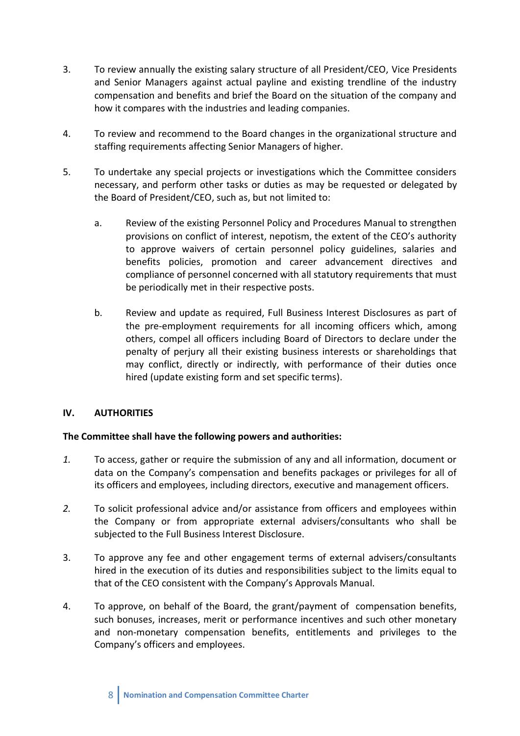- 3. To review annually the existing salary structure of all President/CEO, Vice Presidents and Senior Managers against actual payline and existing trendline of the industry compensation and benefits and brief the Board on the situation of the company and how it compares with the industries and leading companies.
- 4. To review and recommend to the Board changes in the organizational structure and staffing requirements affecting Senior Managers of higher.
- 5. To undertake any special projects or investigations which the Committee considers necessary, and perform other tasks or duties as may be requested or delegated by the Board of President/CEO, such as, but not limited to:
	- a. Review of the existing Personnel Policy and Procedures Manual to strengthen provisions on conflict of interest, nepotism, the extent of the CEO's authority to approve waivers of certain personnel policy guidelines, salaries and benefits policies, promotion and career advancement directives and compliance of personnel concerned with all statutory requirements that must be periodically met in their respective posts.
	- b. Review and update as required, Full Business Interest Disclosures as part of the pre-employment requirements for all incoming officers which, among others, compel all officers including Board of Directors to declare under the penalty of perjury all their existing business interests or shareholdings that may conflict, directly or indirectly, with performance of their duties once hired (update existing form and set specific terms).

## **IV. AUTHORITIES**

## **The Committee shall have the following powers and authorities:**

- *1.* To access, gather or require the submission of any and all information, document or data on the Company's compensation and benefits packages or privileges for all of its officers and employees, including directors, executive and management officers.
- *2.* To solicit professional advice and/or assistance from officers and employees within the Company or from appropriate external advisers/consultants who shall be subjected to the Full Business Interest Disclosure.
- 3. To approve any fee and other engagement terms of external advisers/consultants hired in the execution of its duties and responsibilities subject to the limits equal to that of the CEO consistent with the Company's Approvals Manual.
- 4. To approve, on behalf of the Board, the grant/payment of compensation benefits, such bonuses, increases, merit or performance incentives and such other monetary and non-monetary compensation benefits, entitlements and privileges to the Company's officers and employees.